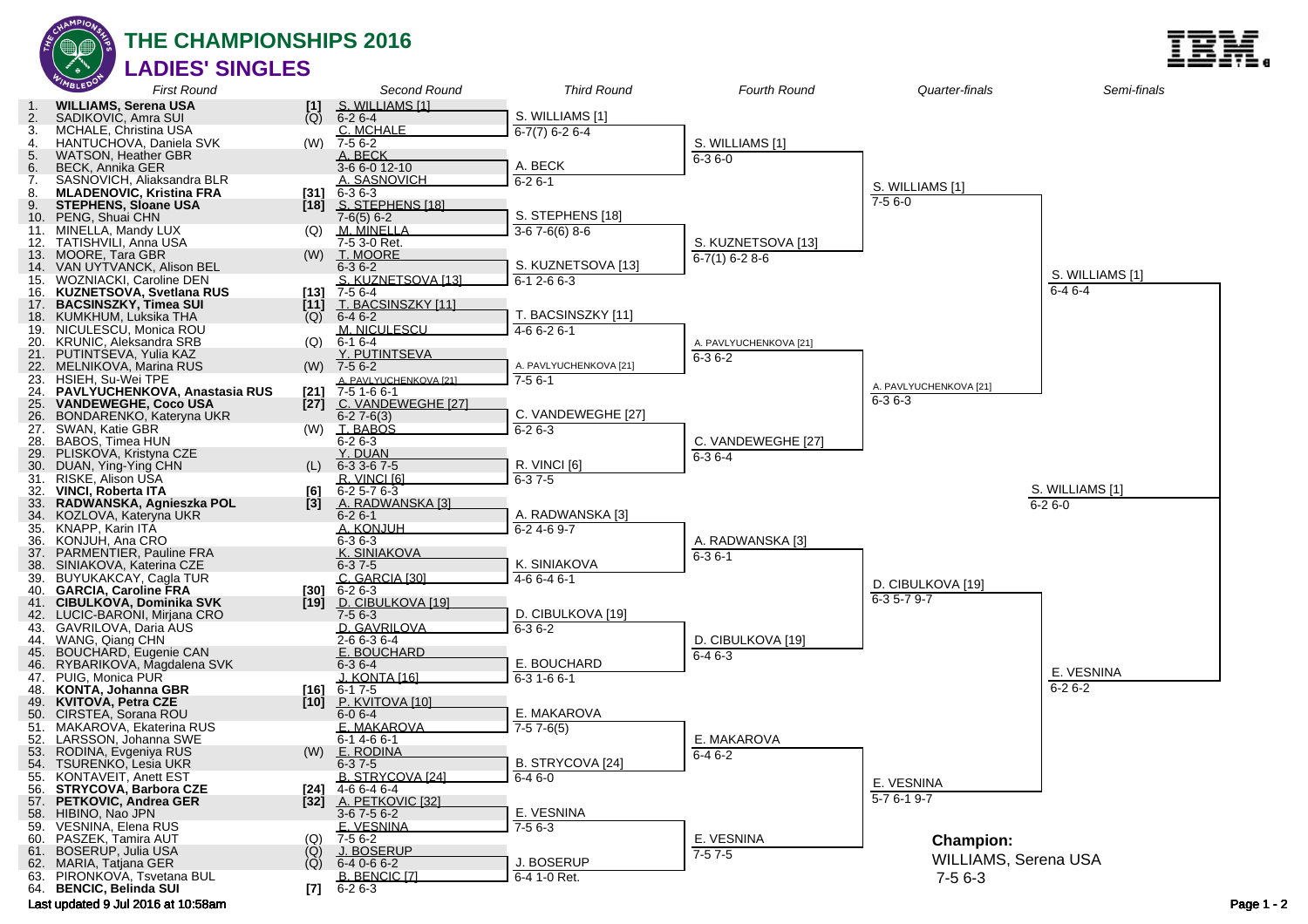

**THE CHAMPIONSHIPS 2016 LADIES' SINGLES**

|            | WIMBLEDON                                                      | <b>First Round</b>              |                                        | Second Round                                | <b>Third Round</b>     | <b>Fourth Round</b>                | Quarter-finals         | Semi-finals     |            |
|------------|----------------------------------------------------------------|---------------------------------|----------------------------------------|---------------------------------------------|------------------------|------------------------------------|------------------------|-----------------|------------|
|            | <b>WILLIAMS, Serena USA</b>                                    |                                 |                                        | S. WILLIAMS [1]                             |                        |                                    |                        |                 |            |
| 2.         | SADIKOVIC, Amra SUI                                            |                                 | $\begin{bmatrix} 1 \\ Q \end{bmatrix}$ | $6 - 26 - 4$                                | S. WILLIAMS [1]        |                                    |                        |                 |            |
| 3.<br>4.   | MCHALE, Christina USA                                          |                                 | (W)                                    | C. MCHALE<br>7-5 6-2                        | $6-7(7)$ 6-2 6-4       |                                    |                        |                 |            |
| 5.         | HANTUCHOVA, Daniela SVK<br><b>WATSON, Heather GBR</b>          |                                 |                                        | A. BECK                                     |                        | S. WILLIAMS [1]<br>$6 - 36 - 0$    |                        |                 |            |
| 6.         | <b>BECK, Annika GER</b>                                        |                                 |                                        | $3-66-012-10$                               | A. BECK                |                                    |                        |                 |            |
| 7.         |                                                                | SASNOVICH, Aliaksandra BLR      |                                        | <u>A. SASNOVICH</u>                         | $6 - 26 - 1$           |                                    | S. WILLIAMS [1]        |                 |            |
| 8.<br>9.   | <b>MLADENOVIC, Kristina FRA</b><br><b>STEPHENS, Sloane USA</b> |                                 | [31]<br>$[18]$                         | $6 - 36 - 3$<br>S. STEPHENS [18]            |                        |                                    | $7-56-0$               |                 |            |
| 10.        | PENG, Shuai CHN                                                |                                 |                                        | $7-6(5)$ 6-2                                | S. STEPHENS [18]       |                                    |                        |                 |            |
|            | 11. MINELLA, Mandy LUX                                         |                                 | (Q)                                    | M. MINELLA                                  | $3-67-6(6)8-6$         |                                    |                        |                 |            |
| 12.        | TATISHVILI, Anna USA                                           |                                 |                                        | 7-5 3-0 Ret.                                |                        | S. KUZNETSOVA [13]                 |                        |                 |            |
|            | 13. MOORE, Tara GBR<br>14. VAN UYTVANCK, Alison BEL            |                                 | (W)                                    | <u>T. MOORE</u><br>$6 - 36 - 2$             | S. KUZNETSOVA [13]     | $6-7(1)$ 6-2 8-6                   |                        |                 |            |
| 15.        | WOZNIACKI, Caroline DEN                                        |                                 |                                        | S. KUZNETSOVA [13]                          | $6-12-66-3$            |                                    |                        | S. WILLIAMS [1] |            |
| 16.        |                                                                | <b>KUZNETSOVA, Svetlana RUS</b> | [13]                                   | 7-5 6-4                                     |                        |                                    |                        | $6 - 46 - 4$    |            |
| 17.        | <b>BACSINSZKY, Timea SUI</b>                                   |                                 | $[11]$                                 | T. BACSINSZKY [11]                          | T. BACSINSZKY [11]     |                                    |                        |                 |            |
|            | 18. KUMKHUM, Luksika THA<br>19. NICULESCU, Monica ROU          |                                 | (Q)                                    | $6 - 46 - 2$<br>M. NICULESCU                | 4-6 6-2 6-1            |                                    |                        |                 |            |
| 20.        | <b>KRUNIC, Aleksandra SRB</b>                                  |                                 | (Q)                                    | $6 - 16 - 4$                                |                        | A. PAVLYUCHENKOVA [21]             |                        |                 |            |
| 21.        | PUTINTSEVA, Yulia KAZ                                          |                                 |                                        | Y. PUTINTSEVA                               |                        | $6 - 36 - 2$                       |                        |                 |            |
|            | 22. MELNIKOVA, Marina RUS                                      |                                 | (W)                                    | $7-56-2$                                    | A. PAVLYUCHENKOVA [21] |                                    |                        |                 |            |
| 23.<br>24. | HSIEH, Su-Wei TPE                                              | PAVLYUCHENKOVA, Anastasia RUS   | [21]                                   | A. PAVLYUCHENKOVA [21]<br>7-51-66-1         | $7 - 56 - 1$           |                                    | A. PAVLYUCHENKOVA [21] |                 |            |
| 25.        | <b>VANDEWEGHE, Coco USA</b>                                    |                                 | [27]                                   | C. VANDEWEGHE [27]                          |                        |                                    | $6 - 36 - 3$           |                 |            |
| 26.        |                                                                | BONDARENKO, Kateryna UKR        |                                        | $6 - 27 - 6(3)$                             | C. VANDEWEGHE [27]     |                                    |                        |                 |            |
|            | 27. SWAN, Katie GBR                                            |                                 | (W)                                    | <b>T. BABOS</b>                             | $6 - 26 - 3$           |                                    |                        |                 |            |
| 28.<br>29. | BABOS, Timea HUN<br>PLISKOVA, Kristyna CZE                     |                                 |                                        | $6 - 26 - 3$<br>Y. DUAN                     |                        | C. VANDEWEGHE [27]<br>$6 - 36 - 4$ |                        |                 |            |
| 30.        | DUAN, Ying-Ying CHN                                            |                                 | (L)                                    | $6-33-67-5$                                 | R. VINCI [6]           |                                    |                        |                 |            |
| 31.        | RISKE, Alison USA                                              |                                 |                                        | R. VINCI [6]                                | $6 - 37 - 5$           |                                    |                        |                 |            |
| 32.        | VINCI, Roberta ITA                                             | RADWANSKA, Agnieszka POL        | [6]                                    | $6 - 25 - 76 - 3$<br>A. RADWANSKA [3]       |                        |                                    |                        | S. WILLIAMS [1] |            |
| 33.<br>34. | KOZLOVA, Kateryna UKR                                          |                                 | $[3]$                                  | $6 - 26 - 1$                                | A. RADWANSKA [3]       |                                    |                        | $6 - 26 - 0$    |            |
|            | 35. KNAPP, Karin ITÁ                                           |                                 |                                        | A. KONJUH                                   | $6-24-69-7$            |                                    |                        |                 |            |
| 36.        | KONJUH, Ana CRO                                                |                                 |                                        | $6 - 36 - 3$                                |                        | A. RADWANSKA [3]                   |                        |                 |            |
| 37.<br>38. | PARMENTIER, Pauline FRA<br>SINIAKOVA, Katerina CZE             |                                 |                                        | K. SINIAKOVA<br>$6 - 37 - 5$                | K. SINIAKOVA           | $6 - 36 - 1$                       |                        |                 |            |
| 39.        | BUYUKAKCAY, Cagla TUR                                          |                                 |                                        | C. GARCIA [30]                              | 4-6 6-4 6-1            |                                    |                        |                 |            |
| 40.        | <b>GARCIA, Caroline FRA</b>                                    |                                 | [30]                                   | $6 - 26 - 3$                                |                        |                                    | D. CIBULKOVA [19]      |                 |            |
| 41.        | <b>CIBULKOVA, Dominika SVK</b>                                 |                                 | $[19]$                                 | D. CIBULKOVA [19]                           | D. CIBULKOVA [19]      |                                    | $6-35-79-7$            |                 |            |
|            | 42. LUCIC-BARONI, Mirjana CRO<br>43. GAVRILOVA, Daria AUS      |                                 |                                        | $7-56-3$<br>D. GAVRILOVA                    | $6 - 36 - 2$           |                                    |                        |                 |            |
| 44.        | WANG, Qiang CHN                                                |                                 |                                        | $2 - 66 - 36 - 4$                           |                        | D. CIBULKOVA [19]                  |                        |                 |            |
| 45.        | <b>BOUCHARD, Eugenie CAN</b>                                   |                                 |                                        | E. BOUCHARD                                 |                        | $6-46-3$                           |                        |                 |            |
| 46.        |                                                                | RYBARIKOVA, Magdalena SVK       |                                        | $6 - 36 - 4$                                | E. BOUCHARD            |                                    |                        | E. VESNINA      |            |
| 48.        | 47. PUIG, Monica PUR<br><b>KONTA, Johanna GBR</b>              |                                 | [16]                                   | <u>J. KONTA [16]</u><br>$6 - 17 - 5$        | $6-31-66-1$            |                                    |                        | $6 - 26 - 2$    |            |
| 49.        | KVITOVA, Petra CZE                                             |                                 | $[10]$                                 | P. KVITOVA [10]                             |                        |                                    |                        |                 |            |
| 50.        | CIRSTEA, Sorana ROU                                            |                                 |                                        | $6 - 06 - 4$                                | E. MAKAROVA            |                                    |                        |                 |            |
| 51.<br>52. | MAKAROVA, Ekaterina RUS<br>LARSSON, Johanna SWE                |                                 |                                        | E. MAKAROVA<br>$6 - 14 - 66 - 1$            | $7-57-6(5)$            | E. MAKAROVA                        |                        |                 |            |
| 53.        | RODINA, Evgeniya RUS                                           |                                 | (W)                                    | E. RODINA                                   |                        | $6-46-2$                           |                        |                 |            |
|            | 54. TSURENKO, Lesia UKR                                        |                                 |                                        | $6 - 37 - 5$                                | B. STRYCOVA [24]       |                                    |                        |                 |            |
| 55.        | <b>KONTAVEIT, Anett EST</b>                                    |                                 |                                        | B. STRYCOVA [24]                            | $6-46-0$               |                                    | E. VESNINA             |                 |            |
| 56.        | <b>STRYCOVA, Barbora CZE</b><br>57. PETKOVIC, Andrea GER       |                                 |                                        | $[24]$ 4-6 6-4 6-4<br>[32] A. PETKOVIC [32] |                        |                                    | $5 - 76 - 19 - 7$      |                 |            |
|            | 58. HIBINO, Nao JPN                                            |                                 |                                        | $3-67-56-2$                                 | E. VESNINA             |                                    |                        |                 |            |
|            | 59. VESNINA, Elena RUS                                         |                                 |                                        | E. VESNINA                                  | $7-56-3$               |                                    |                        |                 |            |
|            | 60. PASZEK, Tamira AUT                                         |                                 | (Q)                                    | $7-56-2$                                    |                        | E. VESNINA                         | <b>Champion:</b>       |                 |            |
|            | 61. BOSERUP, Julia USA<br>62. MARIA, Tatjana GER               |                                 | $\binom{O}{Q}$                         | J. BOSERUP<br>$6-40-66-2$                   | J. BOSERUP             | $7-57-5$                           | WILLIAMS, Serena USA   |                 |            |
|            | 63. PIRONKOVA, Tsvetana BUL                                    |                                 |                                        | B. BENCIC [7]                               | $6-41-0$ Ret.          |                                    | $7-56-3$               |                 |            |
|            | 64. BENCIC, Belinda SUI                                        |                                 | $\mathbf{[7]}$                         | $6 - 26 - 3$                                |                        |                                    |                        |                 |            |
|            | Last updated 9 Jul 2016 at 10:58am                             |                                 |                                        |                                             |                        |                                    |                        |                 | Page 1 - 2 |

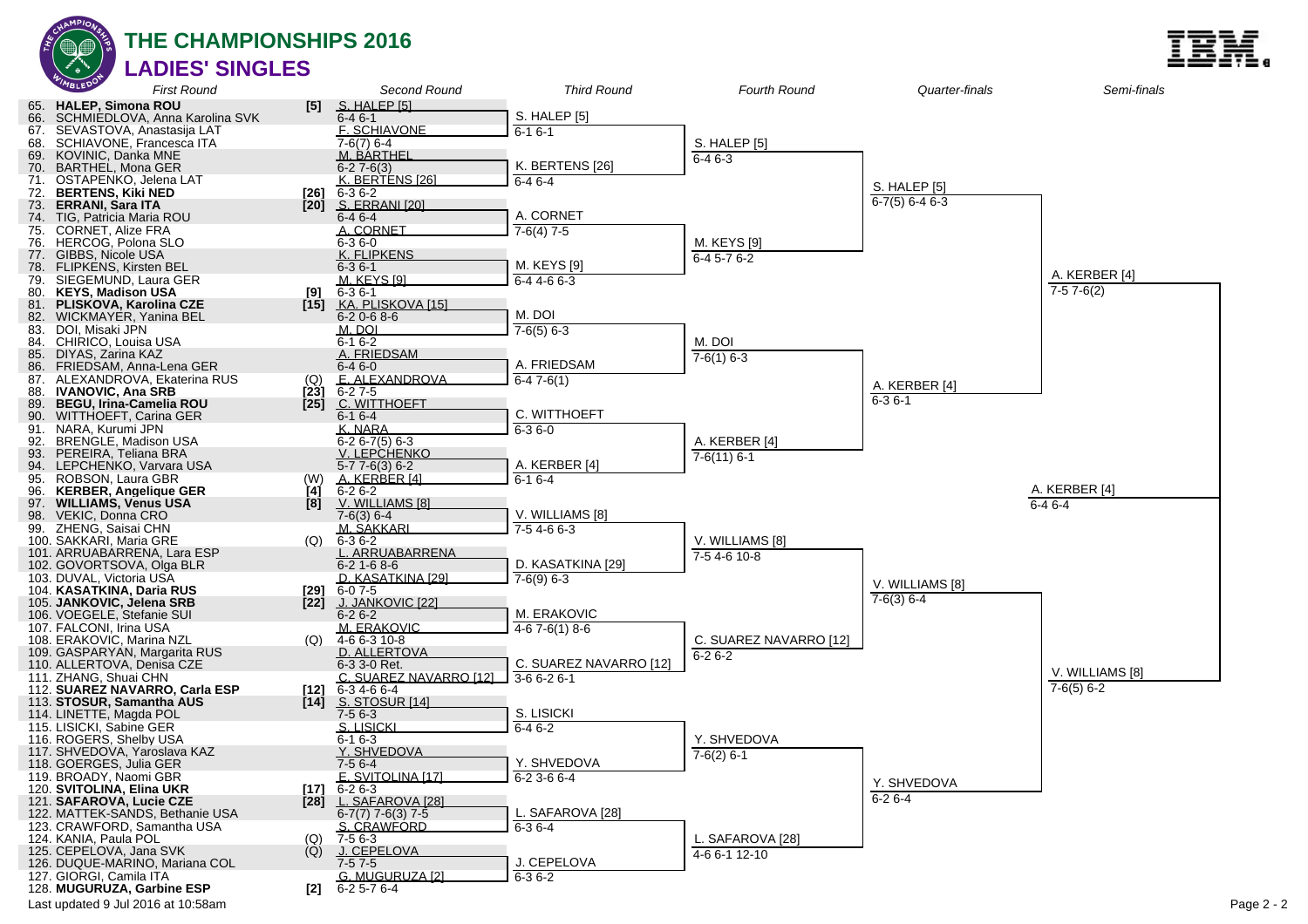

#### **THE CHAMPIONSHIPS 2016 LADIES' SINGLES**

|            | MBLEDO                                                     | <b>First Round</b>             |               | Second Round                           | <b>Third Round</b>     | <b>Fourth Round</b>    | Quarter-finals         | Semi-finals     |            |
|------------|------------------------------------------------------------|--------------------------------|---------------|----------------------------------------|------------------------|------------------------|------------------------|-----------------|------------|
|            | 65. HALEP, Simona ROU                                      |                                | [5]           | S. HALEP [5]                           |                        |                        |                        |                 |            |
| 66.        |                                                            | SCHMIEDLOVA, Anna Karolina SVK |               | $6 - 46 - 1$                           | S. HALEP [5]           |                        |                        |                 |            |
| 67.<br>68. | SEVASTOVA, Anastasija LAT<br>SCHIAVONE, Francesca ITA      |                                |               | <b>F. SCHIAVONE</b><br>7-6(7) 6-4      | $6 - 16 - 1$           | S. HALEP [5]           |                        |                 |            |
| 69.        | KOVINIC, Danka MNE                                         |                                |               | M. BARTHEL                             |                        | $6 - 46 - 3$           |                        |                 |            |
| 70.        | <b>BARTHEL, Mona GER</b>                                   |                                |               | $6 - 27 - 6(3)$                        | K. BERTENS [26]        |                        |                        |                 |            |
|            | 71. OSTAPENKO, Jelena LAT                                  |                                |               | K. BERTENS [26]                        | $6 - 46 - 4$           |                        | <b>S. HALEP [5]</b>    |                 |            |
| 72.        | <b>BERTENS, Kiki NED</b>                                   |                                | [26]          | $6 - 36 - 2$                           |                        |                        | $6 - 7(5) 6 - 4 6 - 3$ |                 |            |
| 73.        | <b>ERRANI, Sara ITA</b>                                    |                                | [20]          | S. ERRANI [20]                         | A. CORNET              |                        |                        |                 |            |
| 75.        | 74. TIG, Patricia Maria ROU<br><b>CORNET, Alize FRA</b>    |                                |               | 6-4 6-4<br>A. CORNET                   | $7-6(4)$ 7-5           |                        |                        |                 |            |
| 76.        | HERCOG, Polona SLO                                         |                                |               | $6 - 36 - 0$                           |                        | M. KEYS [9]            |                        |                 |            |
|            | 77. GIBBS, Nicole USA                                      |                                |               | K. FLIPKENS                            |                        | $6-45-76-2$            |                        |                 |            |
| 78.        | <b>FLIPKENS, Kirsten BEL</b>                               |                                |               | $6 - 36 - 1$                           | M. KEYS [9]            |                        |                        | A. KERBER [4]   |            |
| 79.        | SIEGEMUND, Laura GER                                       |                                |               | <b>M. KEYS [9]</b>                     | $6-44-66-3$            |                        |                        | $7-57-6(2)$     |            |
| 80.<br>81. | <b>KEYS. Madison USA</b><br><b>PLISKOVA, Karolina CZE</b>  |                                | [9]<br>$[15]$ | $6 - 36 - 1$<br>KA. PLISKOVA [15]      |                        |                        |                        |                 |            |
|            | 82. WICKMAYER, Yanina BEL                                  |                                |               | $6 - 20 - 68 - 6$                      | M. DOI                 |                        |                        |                 |            |
| 83.        | DOI, Misaki JPN                                            |                                |               | M. DOI                                 | $7-6(5)$ 6-3           |                        |                        |                 |            |
| 84.        | CHIRICO, Louisa USA                                        |                                |               | $6 - 16 - 2$                           |                        | M. DOI                 |                        |                 |            |
| 85.        | DIYAS, Zarina KAZ                                          |                                |               | A. FRIEDSAM                            |                        | $7-6(1)$ 6-3           |                        |                 |            |
| 86.        | FRIEDSAM, Anna-Lena GER                                    |                                |               | $6 - 46 - 0$                           | A. FRIEDSAM            |                        |                        |                 |            |
|            | 87. ALEXANDROVA, Ekaterina RUS<br><b>IVANOVIC, Ana SRB</b> |                                | (Q)<br>[23]   | E. ALEXANDROVA<br>$6-27-5$             | $6-47-6(1)$            |                        | A. KERBER [4]          |                 |            |
| 88.<br>89. | <b>BEGU, Irina-Camelia ROU</b>                             |                                | $[25]$        | C. WITTHOEFT                           |                        |                        | $6 - 36 - 1$           |                 |            |
| 90.        | <b>WITTHOEFT, Carina GER</b>                               |                                |               | $6 - 16 - 4$                           | C. WITTHOEFT           |                        |                        |                 |            |
| 91.        | NARA, Kurumi JPN                                           |                                |               | K. NARA                                | $6 - 36 - 0$           |                        |                        |                 |            |
| 92.        | BRENGLE, Madison USA                                       |                                |               | $6 - 26 - 7(5)6 - 3$                   |                        | A. KERBER [4]          |                        |                 |            |
| 93.        | PEREIRA, Teliana BRA                                       |                                |               | V. LEPCHENKO                           |                        | $7-6(11)$ 6-1          |                        |                 |            |
| 94.        | LEPCHENKO, Varvara USA                                     |                                |               | $5 - 77 - 6(3) 6 - 2$                  | A. KERBER [4]          |                        |                        |                 |            |
| 95.<br>96. | ROBSON, Laura GBR<br><b>KERBER, Angelique GER</b>          |                                | (W)<br>Ì4Í    | A. KERBER [4]<br>$6 - 26 - 2$          | $6-16-4$               |                        |                        | A. KERBER [4]   |            |
|            | 97. WILLIAMS, Venus USA                                    |                                | [8]           | V. WILLIAMS [8]                        |                        |                        |                        | $6 - 46 - 4$    |            |
| 98.        | VEKIC, Donna CRO                                           |                                |               | $7-6(3)$ 6-4                           | V. WILLIAMS [8]        |                        |                        |                 |            |
|            | 99. ZHENG, Saisai CHN                                      |                                |               | M. SAKKARI                             | $7-54-66-3$            |                        |                        |                 |            |
|            | 100. SAKKARI, Maria GRE                                    |                                | (Q)           | $6 - 36 - 2$                           |                        | V. WILLIAMS [8]        |                        |                 |            |
|            | 101. ARRUABARRENA, Lara ESP                                |                                |               | . ARRUABARRENA                         |                        | $7-54-610-8$           |                        |                 |            |
|            | 102. GOVORTSOVA, Olga BLR<br>103. DUVAL, Victoria USA      |                                |               | $6 - 21 - 68 - 6$<br>D. KASATKINA [29] | D. KASATKINA [29]      |                        |                        |                 |            |
|            | 104. KASATKINA, Daria RUS                                  |                                | [29]          | 6-07-5                                 | $7-6(9)$ 6-3           |                        | V. WILLIAMS [8]        |                 |            |
|            | 105. JANKOVIC, Jelena SRB                                  |                                | $[22]$        | <u>J. JANKOVIC [22]</u>                |                        |                        | $7-6(3)$ 6-4           |                 |            |
|            | 106. VOEGELE, Stefanie SUI                                 |                                |               | $6 - 26 - 2$                           | M. ERAKOVIC            |                        |                        |                 |            |
|            | 107. FALCONI, Irina USA                                    |                                |               | M. ERAKOVIC                            | $4-67-6(1)8-6$         |                        |                        |                 |            |
|            | 108. ERAKOVIC, Marina NZL                                  |                                | (Q)           | 4-6 6-3 10-8                           |                        | C. SUAREZ NAVARRO [12] |                        |                 |            |
|            | 109. GASPARYAN, Margarita RUS                              |                                |               | D. ALLERTOVA                           | C. SUAREZ NAVARRO [12] | $6 - 26 - 2$           |                        |                 |            |
|            | 110. ALLERTOVA, Denisa CZE<br>111. ZHANG, Shuai CHN        |                                |               | 6-3 3-0 Ret.<br>C. SUAREZ NAVARRO [12] | $3-66-26-1$            |                        |                        | V. WILLIAMS [8] |            |
|            | 112. SUAREZ NAVARRO, Carla ESP                             |                                | [12]          | 6-34-66-4                              |                        |                        |                        | $7-6(5)$ 6-2    |            |
|            | 113. STOSUR, Samantha AUS                                  |                                | $[14]$        | S. STOSUR [14]                         |                        |                        |                        |                 |            |
|            | 114. LINETTE, Magda POL                                    |                                |               | $7-56-3$                               | S. LISICKI             |                        |                        |                 |            |
|            | 115. LISICKI, Sabine GER                                   |                                |               | S. LISICKI                             | $6-46-2$               |                        |                        |                 |            |
|            | 116. ROGERS, Shelby USA<br>117. SHVEDOVA, Yaroslava KAZ    |                                |               | $6 - 16 - 3$<br>Y. SHVEDOVA            |                        | Y. SHVEDOVA            |                        |                 |            |
|            | 118. GOERGES, Julia GER                                    |                                |               | $7-56-4$                               | Y. SHVEDOVA            | $7-6(2)$ 6-1           |                        |                 |            |
|            | 119. BROADY, Naomi GBR                                     |                                |               | $F$ SVITOLINA [17]                     | $6 - 23 - 66 - 4$      |                        |                        |                 |            |
|            | 120. SVITOLINA, Elina UKR                                  |                                | [17]          | $6 - 26 - 3$                           |                        |                        | Y. SHVEDOVA            |                 |            |
|            | 121. SAFAROVA, Lucie CZE                                   |                                |               | [28] L. SAFAROVA [28]                  |                        |                        | $6-26-4$               |                 |            |
|            | 122. MATTEK-SANDS, Bethanie USA                            |                                |               | $6-7(7)$ 7-6(3) 7-5                    | L. SAFAROVA [28]       |                        |                        |                 |            |
|            | 123. CRAWFORD, Samantha USA                                |                                |               | S. CRAWFORD                            | $6 - 36 - 4$           |                        |                        |                 |            |
|            | 124. KANIA, Paula POL<br>125. CEPELOVA, Jana SVK           |                                | (Q)<br>(Q)    | 7-5 6-3<br>J. CEPELOVA                 |                        | L. SAFAROVA [28]       |                        |                 |            |
|            | 126. DUQUE-MARINO. Mariana COL                             |                                |               | $7-57-5$                               | J. CEPELOVA            | 4-6 6-1 12-10          |                        |                 |            |
|            | 127. GIORGI, Camila ITA                                    |                                |               | G. MUGURUZA [2]                        | $6 - 36 - 2$           |                        |                        |                 |            |
|            | 128. MUGURUZA, Garbine ESP                                 |                                | [2]           | 6-2 5-7 6-4                            |                        |                        |                        |                 |            |
|            | Last updated 9 Jul 2016 at 10:58am                         |                                |               |                                        |                        |                        |                        |                 | Page 2 - 2 |

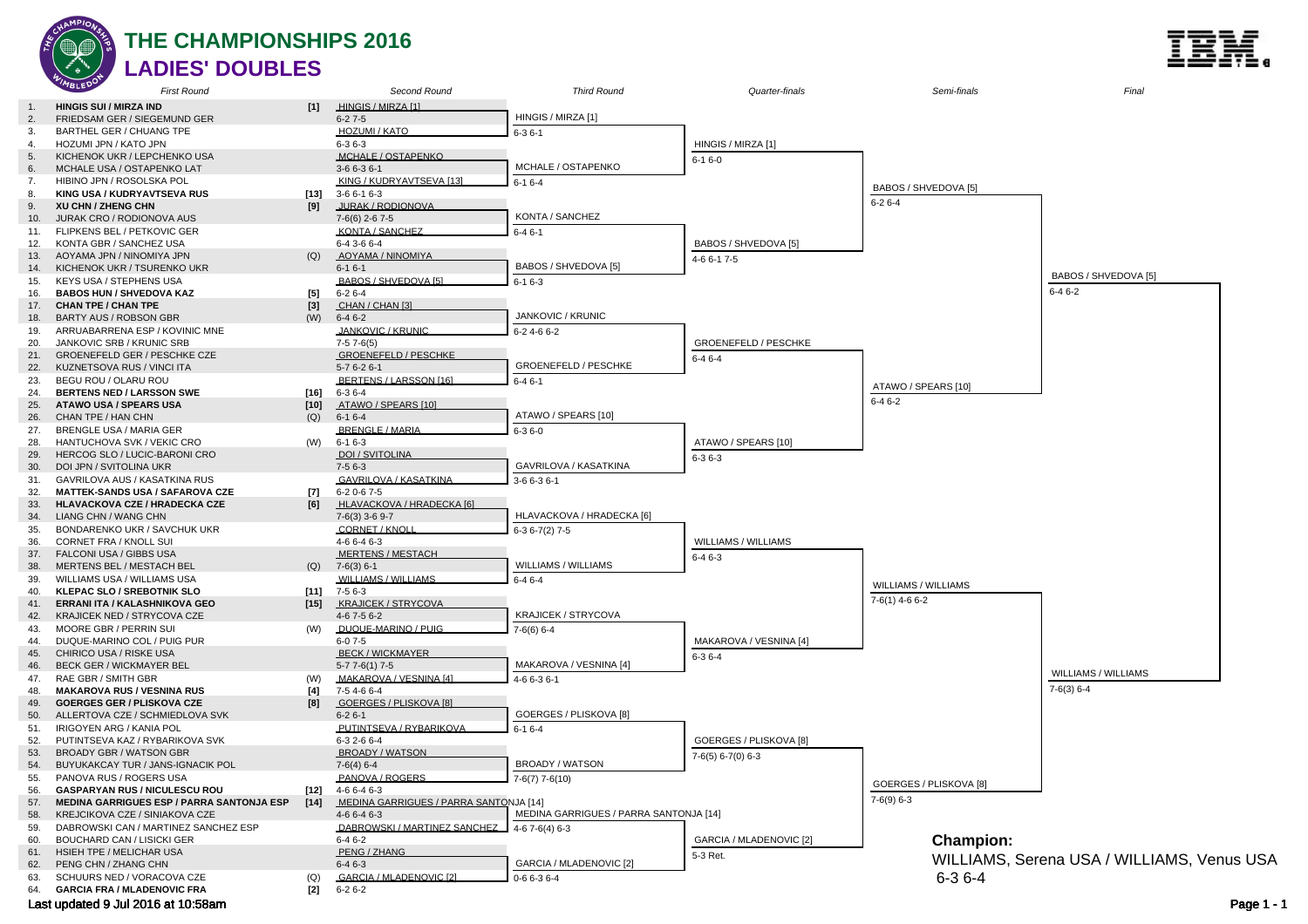

#### **THE CHAMPIONSHIPS 2016 LADIES' DOUBLES**

Second Round

Third Round

HINGIS / MIRZA [1]

HINGIS / MIRZA [1]  $6 - 27 - 5$ 

First Round 1. **HINGIS SUI / MIRZA IND [1]**

| 2.  | FRIEDSAM GER / SIEGEMUND GER                     |        | $6 - 27 - 5$                           | HINGIS / MIRZA [1]                     |                         |                        |                                            |  |
|-----|--------------------------------------------------|--------|----------------------------------------|----------------------------------------|-------------------------|------------------------|--------------------------------------------|--|
| 3.  | BARTHEL GER / CHUANG TPE                         |        | HOZUMI / KATO                          | $6 - 36 - 1$                           |                         |                        |                                            |  |
| 4   | HOZUMI JPN / KATO JPN                            |        | $6 - 36 - 3$                           |                                        | HINGIS / MIRZA [1]      |                        |                                            |  |
| 5.  | KICHENOK UKR / LEPCHENKO USA                     |        | MCHALE / OSTAPENKO                     |                                        | $6 - 16 - 0$            |                        |                                            |  |
| 6.  | MCHALE USA / OSTAPENKO LAT                       |        | 3-6 6-3 6-1                            | MCHALE / OSTAPENKO                     |                         |                        |                                            |  |
| 7.  | HIBINO JPN / ROSOLSKA POL                        |        | KING / KUDRYAVTSEVA [13]               |                                        |                         |                        |                                            |  |
|     |                                                  |        |                                        | $6 - 16 - 4$                           |                         | BABOS / SHVEDOVA [5]   |                                            |  |
| 8.  | KING USA / KUDRYAVTSEVA RUS                      | [13]   | $3-66-16-3$                            |                                        |                         | $6 - 26 - 4$           |                                            |  |
| 9.  | XU CHN / ZHENG CHN                               | [9]    | JURAK / RODIONOVA                      |                                        |                         |                        |                                            |  |
| 10. | JURAK CRO / RODIONOVA AUS                        |        | 7-6(6) 2-6 7-5                         | KONTA / SANCHEZ                        |                         |                        |                                            |  |
| 11. | FLIPKENS BEL / PETKOVIC GER                      |        | <b>KONTA / SANCHEZ</b>                 | $6 - 46 - 1$                           |                         |                        |                                            |  |
| 12. | KONTA GBR / SANCHEZ USA                          |        | 6-4 3-6 6-4                            |                                        | BABOS / SHVEDOVA [5]    |                        |                                            |  |
| 13. | AOYAMA JPN / NINOMIYA JPN                        | (Q)    | AOYAMA / NINOMIYA                      |                                        | 4-6 6-1 7-5             |                        |                                            |  |
| 14. | KICHENOK UKR / TSURENKO UKR                      |        | $6-16-1$                               | BABOS / SHVEDOVA [5]                   |                         |                        |                                            |  |
| 15. | KEYS USA / STEPHENS USA                          |        | BABOS / SHVEDOVA [5]                   | $6 - 16 - 3$                           |                         |                        | BABOS / SHVEDOVA [5]                       |  |
| 16. | <b>BABOS HUN / SHVEDOVA KAZ</b>                  | $[5]$  | $6 - 26 - 4$                           |                                        |                         |                        | $6 - 46 - 2$                               |  |
| 17. | <b>CHAN TPE / CHAN TPE</b>                       | $[3]$  | CHAN / CHAN [3]                        |                                        |                         |                        |                                            |  |
|     |                                                  |        |                                        | JANKOVIC / KRUNIC                      |                         |                        |                                            |  |
| 18. | BARTY AUS / ROBSON GBR                           | (W)    | $6 - 46 - 2$                           |                                        |                         |                        |                                            |  |
| 19. | ARRUABARRENA ESP / KOVINIC MNE                   |        | JANKOVIC / KRUNIC                      | 6-2 4-6 6-2                            |                         |                        |                                            |  |
| 20. | JANKOVIC SRB / KRUNIC SRB                        |        | $7-57-6(5)$                            |                                        | GROENEFELD / PESCHKE    |                        |                                            |  |
| 21. | GROENEFELD GER / PESCHKE CZE                     |        | <b>GROENEFELD / PESCHKE</b>            |                                        | $6 - 46 - 4$            |                        |                                            |  |
| 22. | KUZNETSOVA RUS / VINCI ITA                       |        | $5-76-26-1$                            | GROENEFELD / PESCHKE                   |                         |                        |                                            |  |
| 23. | BEGU ROU / OLARU ROU                             |        | BERTENS / LARSSON [16]                 | $6 - 46 - 1$                           |                         |                        |                                            |  |
| 24. | <b>BERTENS NED / LARSSON SWE</b>                 | $[16]$ | $6 - 36 - 4$                           |                                        |                         | ATAWO / SPEARS [10]    |                                            |  |
| 25. | <b>ATAWO USA / SPEARS USA</b>                    | [10]   | ATAWO / SPEARS [10]                    |                                        |                         | $6 - 46 - 2$           |                                            |  |
| 26. | CHAN TPE / HAN CHN                               | (Q)    | $6-16-4$                               | ATAWO / SPEARS [10]                    |                         |                        |                                            |  |
| 27. | BRENGLE USA / MARIA GER                          |        | <b>BRENGLE / MARIA</b>                 |                                        |                         |                        |                                            |  |
| 28. | HANTUCHOVA SVK / VEKIC CRO                       |        | $6 - 16 - 3$                           | $6 - 36 - 0$                           | ATAWO / SPEARS [10]     |                        |                                            |  |
|     |                                                  | (W)    |                                        |                                        |                         |                        |                                            |  |
| 29. | HERCOG SLO / LUCIC-BARONI CRO                    |        | DOI / SVITOLINA                        |                                        | $6 - 36 - 3$            |                        |                                            |  |
| 30. | DOI JPN / SVITOLINA UKR                          |        | $7-56-3$                               | GAVRILOVA / KASATKINA                  |                         |                        |                                            |  |
| 31. | GAVRILOVA AUS / KASATKINA RUS                    |        | GAVRILOVA / KASATKINA                  | 3-6 6-3 6-1                            |                         |                        |                                            |  |
| 32. | <b>MATTEK-SANDS USA / SAFAROVA CZE</b>           | $[7]$  | $6-20-67-5$                            |                                        |                         |                        |                                            |  |
| 33. | HLAVACKOVA CZE / HRADECKA CZE                    | [6]    | HLAVACKOVA / HRADECKA [6]              |                                        |                         |                        |                                            |  |
| 34. | LIANG CHN / WANG CHN                             |        | $7-6(3)$ 3-6 9-7                       | HLAVACKOVA / HRADECKA [6]              |                         |                        |                                            |  |
| 35. | BONDARENKO UKR / SAVCHUK UKR                     |        | CORNET / KNOL                          | $6-36-7(2)7-5$                         |                         |                        |                                            |  |
| 36. | CORNET FRA / KNOLL SUI                           |        | 4-6 6-4 6-3                            |                                        | WILLIAMS / WILLIAMS     |                        |                                            |  |
| 37. | FALCONI USA / GIBBS USA                          |        | <b>MERTENS / MESTACH</b>               |                                        |                         |                        |                                            |  |
| 38. | MERTENS BEL / MESTACH BEL                        | (Q)    | $7-6(3)$ 6-1                           | WILLIAMS / WILLIAMS                    | $6 - 46 - 3$            |                        |                                            |  |
|     |                                                  |        | <b>WILLIAMS / WILLIAMS</b>             |                                        |                         |                        |                                            |  |
| 39. | WILLIAMS USA / WILLIAMS USA                      |        |                                        | $6 - 46 - 4$                           |                         | WILLIAMS / WILLIAMS    |                                            |  |
| 40. | <b>KLEPAC SLO / SREBOTNIK SLO</b>                | [11]   | $7-56-3$                               |                                        |                         |                        |                                            |  |
| 41. | ERRANI ITA / KALASHNIKOVA GEO                    | $[15]$ | <b>KRAJICEK / STRYCOVA</b>             |                                        |                         | 7-6(1) 4-6 6-2         |                                            |  |
| 42. | KRAJICEK NED / STRYCOVA CZE                      |        | 4-6 7-5 6-2                            | KRAJICEK / STRYCOVA                    |                         |                        |                                            |  |
| 43. | MOORE GBR / PERRIN SUI                           | (W)    | DUQUE-MARINO / PUIG                    | $7-6(6)$ 6-4                           |                         |                        |                                            |  |
| 44  | DUQUE-MARINO COL / PUIG PUR                      |        | $6 - 07 - 5$                           |                                        | MAKAROVA / VESNINA [4]  |                        |                                            |  |
| 45. | CHIRICO USA / RISKE USA                          |        | <b>BECK/WICKMAYER</b>                  |                                        | $6 - 36 - 4$            |                        |                                            |  |
| 46. | <b>BECK GER / WICKMAYER BEL</b>                  |        | $5-77-6(1)7-5$                         | MAKAROVA / VESNINA [4]                 |                         |                        |                                            |  |
| 47. | RAE GBR / SMITH GBR                              | (W)    | MAKAROVA / VESNINA [4]                 | 4-6 6-3 6-1                            |                         |                        | WILLIAMS / WILLIAMS                        |  |
| 48. | <b>MAKAROVA RUS / VESNINA RUS</b>                | [4]    | 7-54-66-4                              |                                        |                         |                        | $7-6(3)$ 6-4                               |  |
| 49. | <b>GOERGES GER / PLISKOVA CZE</b>                | [8]    | GOERGES / PLISKOVA [8]                 |                                        |                         |                        |                                            |  |
|     |                                                  |        | $6 - 26 - 1$                           | GOERGES / PLISKOVA [8]                 |                         |                        |                                            |  |
| 50. | ALLERTOVA CZE / SCHMIEDLOVA SVK                  |        | PUTINTSEVA / RYBARIKOVA                |                                        |                         |                        |                                            |  |
| 51. | IRIGOYEN ARG / KANIA POL                         |        |                                        | $6-16-4$                               |                         |                        |                                            |  |
| 52. | PUTINTSEVA KAZ / RYBARIKOVA SVK                  |        | 6-3 2-6 6-4                            |                                        | GOERGES / PLISKOVA [8]  |                        |                                            |  |
| 53. | <b>BROADY GBR / WATSON GBR</b>                   |        | <b>BROADY / WATSON</b>                 |                                        | 7-6(5) 6-7(0) 6-3       |                        |                                            |  |
| 54. | BUYUKAKCAY TUR / JANS-IGNACIK POL                |        | $7-6(4)$ 6-4                           | BROADY / WATSON                        |                         |                        |                                            |  |
| 55. | PANOVA RUS / ROGERS USA                          |        | PANOVA / ROGERS                        | $7-6(7)$ 7-6(10)                       |                         |                        |                                            |  |
| 56. | <b>GASPARYAN RUS / NICULESCU ROU</b>             | [12]   | 4-6 6-4 6-3                            |                                        |                         | GOERGES / PLISKOVA [8] |                                            |  |
| 57. | <b>MEDINA GARRIGUES ESP / PARRA SANTONJA ESP</b> | $[14]$ | MEDINA GARRIGUES / PARRA SANTONJA [14] |                                        |                         | $7-6(9)$ 6-3           |                                            |  |
| 58. | KREJCIKOVA CZE / SINIAKOVA CZE                   |        | $4-66-46-3$                            | MEDINA GARRIGUES / PARRA SANTONJA [14] |                         |                        |                                            |  |
| 59. | DABROWSKI CAN / MARTINEZ SANCHEZ ESP             |        | DABROWSKI / MARTINEZ SANCHEZ           |                                        |                         |                        |                                            |  |
|     |                                                  |        |                                        | $4-67-6(4)6-3$                         |                         |                        |                                            |  |
| 60. | <b>BOUCHARD CAN / LISICKI GER</b>                |        | $6 - 46 - 2$                           |                                        | GARCIA / MLADENOVIC [2] | <b>Champion:</b>       |                                            |  |
| 61. | HSIEH TPE / MELICHAR USA                         |        | PENG / ZHANG                           |                                        | 5-3 Ret.                |                        | WILLIAMS, Serena USA / WILLIAMS, Venus USA |  |
| 62. | PENG CHN / ZHANG CHN                             |        | $6 - 46 - 3$                           | GARCIA / MLADENOVIC [2]                |                         |                        |                                            |  |
| 63. | SCHUURS NED / VORACOVA CZE                       | (Q)    | <b>GARCIA / MLADENOVIC [2]</b>         | $0 - 66 - 36 - 4$                      |                         | $6 - 36 - 4$           |                                            |  |
| 64. | <b>GARCIA FRA / MLADENOVIC FRA</b>               | $[2]$  | $6 - 26 - 2$                           |                                        |                         |                        |                                            |  |
|     | Last updated 9 Jul 2016 at 10:58am               |        |                                        |                                        |                         |                        | Page 1 - 1                                 |  |

Quarter-finals

Semi-finals



Final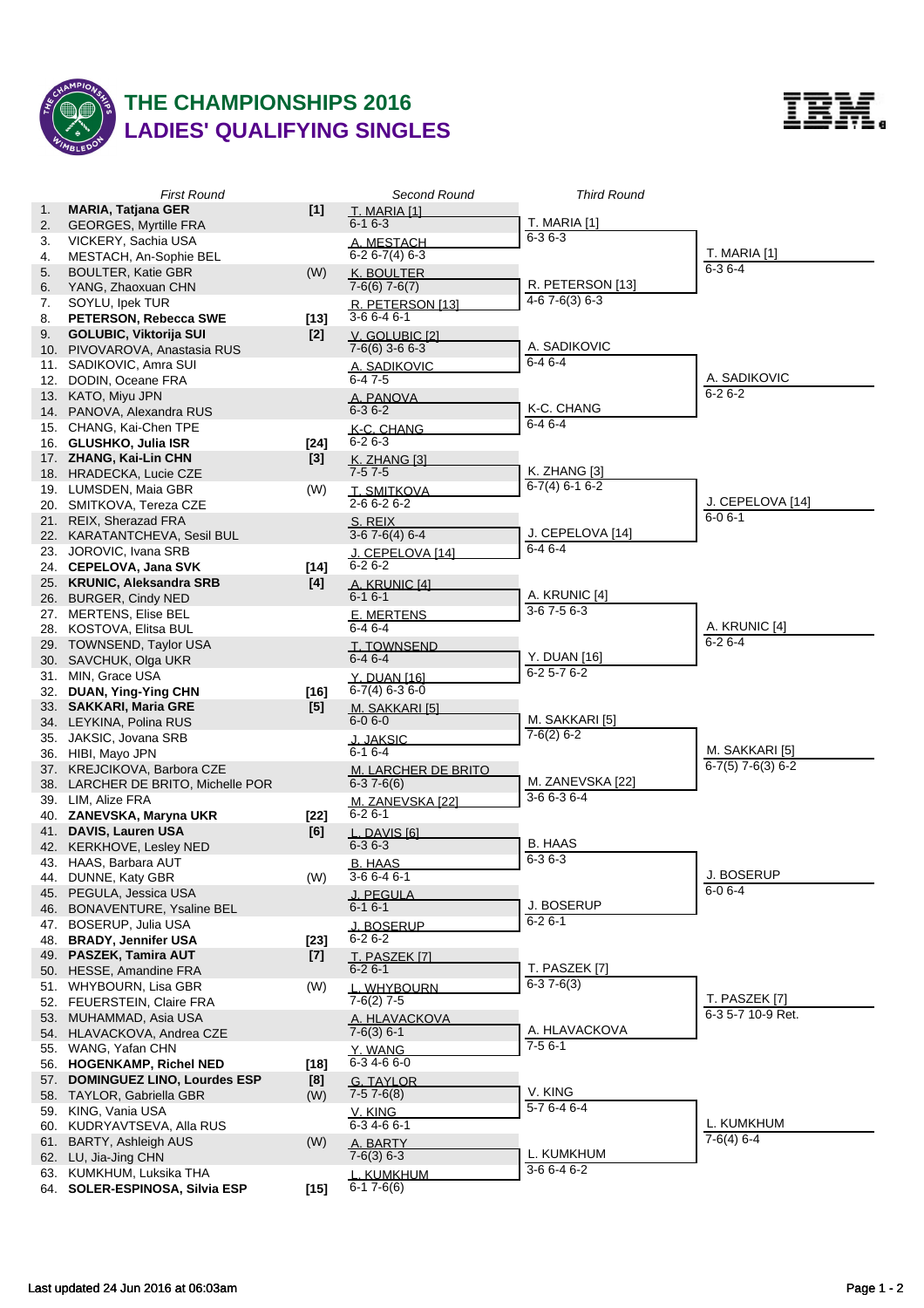

## **THE CHAMPIONSHIPS 2016 LADIES' QUALIFYING SINGLES**



|    | <b>First Round</b>                                |               | Second Round                                 | <b>Third Round</b>               |                     |
|----|---------------------------------------------------|---------------|----------------------------------------------|----------------------------------|---------------------|
| 1. | <b>MARIA, Tatjana GER</b>                         | $[1]$         | T. MARIA [1]                                 |                                  |                     |
| 2. | <b>GEORGES, Myrtille FRA</b>                      |               | $6 - 16 - 3$                                 | T. MARIA [1]                     |                     |
| 3. | VICKERY, Sachia USA                               |               | A. MESTACH                                   | $6 - 36 - 3$                     |                     |
| 4. | MESTACH, An-Sophie BEL                            |               | $6-26-7(4)6-3$                               |                                  | T. MARIA [1]        |
| 5. | <b>BOULTER, Katie GBR</b>                         | (W)           | K. BOULTER                                   |                                  | $6 - 36 - 4$        |
| 6. | YANG, Zhaoxuan CHN                                |               | $7-6(6)$ 7-6(7)                              | R. PETERSON [13]                 |                     |
| 7. | SOYLU, Ipek TUR                                   |               | R. PETERSON [13]                             | $4-67-6(3)6-3$                   |                     |
| 8. | PETERSON, Rebecca SWE                             | $[13]$        | $3-66-46-1$                                  |                                  |                     |
| 9. | <b>GOLUBIC, Viktorija SUI</b>                     | $[2]$         | V. GOLUBIC [2]                               |                                  |                     |
|    | 10. PIVOVAROVA, Anastasia RUS                     |               | $7-6(6)$ 3-6 6-3                             | A. SADIKOVIC                     |                     |
|    | 11. SADIKOVIC, Amra SUI                           |               | A. SADIKOVIC                                 | $6 - 46 - 4$                     |                     |
|    | 12. DODIN, Oceane FRA                             |               | $6 - 47 - 5$                                 |                                  | A. SADIKOVIC        |
|    | 13. KATO, Miyu JPN                                |               | A. PANOVA                                    |                                  | $6 - 26 - 2$        |
|    | 14. PANOVA, Alexandra RUS                         |               | $6 - 36 - 2$                                 | K-C. CHANG                       |                     |
|    | 15. CHANG, Kai-Chen TPE                           |               | K-C. CHANG                                   | $6 - 46 - 4$                     |                     |
|    | 16. GLUSHKO, Julia ISR                            | $[24]$        | $6 - 26 - 3$                                 |                                  |                     |
|    | 17. ZHANG, Kai-Lin CHN                            | $[3]$         | <u>K. ZHANG [3]</u>                          |                                  |                     |
|    | 18. HRADECKA, Lucie CZE                           |               | $7-57-5$                                     | K. ZHANG [3]                     |                     |
|    | 19. LUMSDEN, Maia GBR                             | (W)           | <b>T. SMITKOVA</b>                           | $6-7(4)$ $6-1$ $6-2$             |                     |
|    | 20. SMITKOVA, Tereza CZE                          |               | $2 - 66 - 26 - 2$                            |                                  | J. CEPELOVA [14]    |
|    | 21. REIX, Sherazad FRA                            |               | S. REIX                                      |                                  | $6 - 06 - 1$        |
|    | 22. KARATANTCHEVA, Sesil BUL                      |               | $3-67-6(4)6-4$                               | J. CEPELOVA [14]<br>$6 - 46 - 4$ |                     |
|    | 23. JOROVIC, Ivana SRB                            |               | J. CEPELOVA [14]                             |                                  |                     |
|    | 24. CEPELOVA, Jana SVK                            | $[14]$        | $6 - 26 - 2$                                 |                                  |                     |
|    | 25. KRUNIC, Aleksandra SRB                        | [4]           | A. KRUNIC [4]                                |                                  |                     |
|    | 26. BURGER, Cindy NED                             |               | $6 - 16 - 1$                                 | A. KRUNIC [4]<br>$3-67-56-3$     |                     |
|    | 27. MERTENS, Elise BEL                            |               | <b>E. MERTENS</b>                            |                                  | A. KRUNIC [4]       |
|    | 28. KOSTOVA, Elitsa BUL                           |               | $6-46-4$                                     |                                  | $6 - 26 - 4$        |
|    | 29. TOWNSEND, Taylor USA                          |               | T. TOWNSEND<br>$6-46-4$                      | Y. DUAN [16]                     |                     |
|    | 30. SAVCHUK, Olga UKR                             |               |                                              | $6 - 25 - 76 - 2$                |                     |
|    | 31. MIN, Grace USA                                |               | <u>Y. DUAN [16]</u><br>$6 - 7(4) 6 - 36 - 0$ |                                  |                     |
|    | 32. DUAN, Ying-Ying CHN<br>33. SAKKARI, Maria GRE | $[16]$<br>[5] |                                              |                                  |                     |
|    | 34. LEYKINA, Polina RUS                           |               | M. SAKKARI [5]<br>$6 - 06 - 0$               | M. SAKKARI [5]                   |                     |
|    | 35. JAKSIC, Jovana SRB                            |               | <u>J. JAKSIC</u>                             | $7-6(2)$ 6-2                     |                     |
|    | 36. HIBI, Mayo JPN                                |               | $6 - 16 - 4$                                 |                                  | M. SAKKARI [5]      |
|    | 37. KREJCIKOVA, Barbora CZE                       |               | M. LARCHER DE BRITO                          |                                  | $6-7(5)$ 7-6(3) 6-2 |
|    | 38. LARCHER DE BRITO, Michelle POR                |               | $6-37-6(6)$                                  | M. ZANEVSKA [22]                 |                     |
|    | 39. LIM, Alize FRA                                |               | M. ZANEVSKA [22]                             | $3-66-36-4$                      |                     |
|    | 40. ZANEVSKA, Maryna UKR                          | $[22]$        | $6 - 2 \overline{6 - 1}$                     |                                  |                     |
|    | 41. DAVIS, Lauren USA                             | [6]           | L. DAVIS [6]                                 |                                  |                     |
|    | 42. KERKHOVE, Lesley NED                          |               | $6 - 36 - 3$                                 | <b>B. HAAS</b>                   |                     |
|    | 43. HAAS, Barbara AUT                             |               | <b>B. HAAS</b>                               | $6 - 36 - 3$                     |                     |
|    | 44. DUNNE, Katy GBR                               | (W)           | 3-6 6-4 6-1                                  |                                  | <b>J. BOSERUP</b>   |
|    | 45. PEGULA, Jessica USA                           |               | J. PEGULA                                    |                                  | $6 - 06 - 4$        |
|    | 46. BONAVENTURE, Ysaline BEL                      |               | $6 - 16 - 1$                                 | J. BOSERUP                       |                     |
|    | 47. BOSERUP, Julia USA                            |               | J. BOSERUP                                   | $6 - 26 - 1$                     |                     |
|    | 48. BRADY, Jennifer USA                           | $[23]$        | $6 - 26 - 2$                                 |                                  |                     |
|    | 49. PASZEK, Tamira AUT                            | $[7]$         | <u>T. PASZEK [7]</u>                         |                                  |                     |
|    | 50. HESSE, Amandine FRA                           |               | $6 - 26 - 1$                                 | T. PASZEK [7]                    |                     |
|    | 51. WHYBOURN, Lisa GBR                            | (W)           | L. WHYBOURN                                  | $6-37-6(3)$                      |                     |
|    | 52. FEUERSTEIN, Claire FRA                        |               | $7-6(2)$ 7-5                                 |                                  | T. PASZEK [7]       |
|    | 53. MUHAMMAD, Asia USA                            |               | A. HLAVACKOVA                                |                                  | 6-3 5-7 10-9 Ret.   |
|    | 54. HLAVACKOVA, Andrea CZE                        |               | $7-6(3)$ 6-1                                 | A. HLAVACKOVA                    |                     |
|    | 55. WANG, Yafan CHN                               |               | Y. WANG                                      | $7-56-1$                         |                     |
|    | 56. HOGENKAMP, Richel NED                         | $[18]$        | 6-34-66-0                                    |                                  |                     |
|    | 57. DOMINGUEZ LINO, Lourdes ESP                   | [8]           | <b>G. TAYLOR</b>                             |                                  |                     |
|    | 58. TAYLOR, Gabriella GBR                         | (W)           | $7-57-6(8)$                                  | V. KING                          |                     |
|    | 59. KING, Vania USA                               |               | V. KING                                      | 5-7 6-4 6-4                      |                     |
|    | 60. KUDRYAVTSEVA, Alla RUS                        |               | $6-3$ 4-6 6-1                                |                                  | L. KUMKHUM          |
|    | 61. BARTY, Ashleigh AUS                           | (W)           | A. BARTY                                     | L. KUMKHUM                       | $7-6(4)$ 6-4        |
|    | 62. LU, Jia-Jing CHN                              |               | $7-6(3)$ 6-3                                 | 3-6 6-4 6-2                      |                     |
|    | 63. KUMKHUM, Luksika THA                          |               | L. KUMKHUM                                   |                                  |                     |
|    | 64. SOLER-ESPINOSA, Silvia ESP                    | $[15]$        | $6-17-6(6)$                                  |                                  |                     |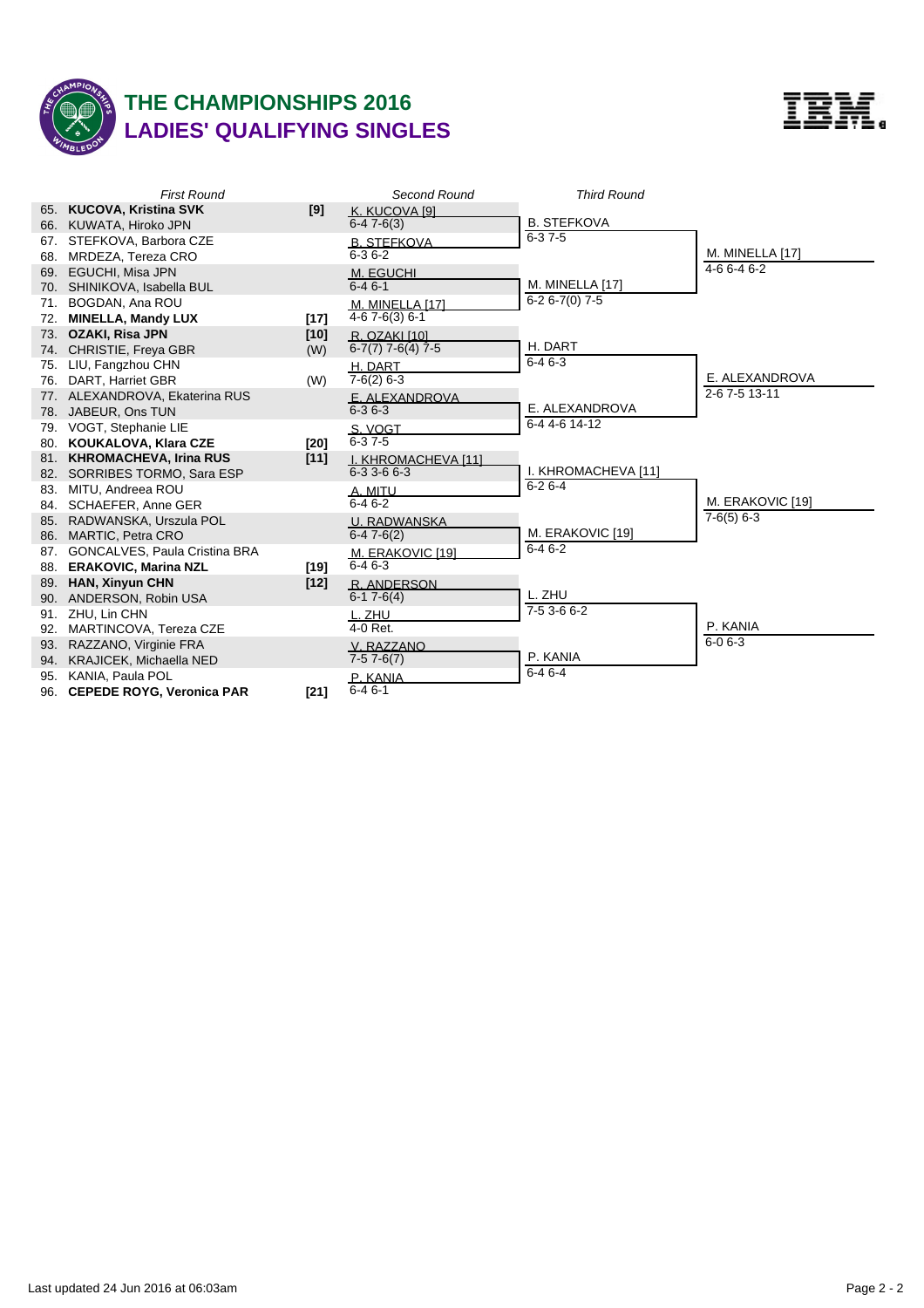

## **THE CHAMPIONSHIPS 2016 LADIES' QUALIFYING SINGLES**